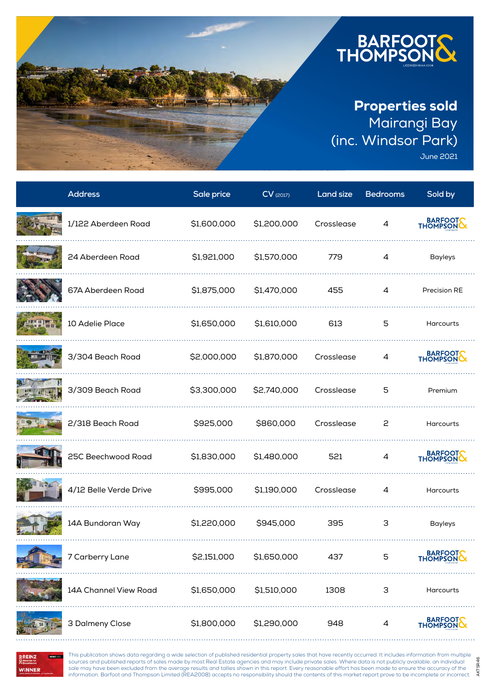

June 2021

AKTSR46

AKTSR46

| <b>Address</b>         | Sale price  | $CV$ (2017) | Land size  | <b>Bedrooms</b> | Sold by             |
|------------------------|-------------|-------------|------------|-----------------|---------------------|
| 1/122 Aberdeen Road    | \$1,600,000 | \$1,200,000 | Crosslease | 4               | BARFOOT             |
| 24 Aberdeen Road       | \$1,921,000 | \$1,570,000 | 779        | $\overline{4}$  | <b>Bayleys</b>      |
| 67A Aberdeen Road      | \$1,875,000 | \$1,470,000 | 455        | 4               | Precision RE        |
| 10 Adelie Place        | \$1,650,000 | \$1,610,000 | 613        | 5               | Harcourts           |
| 3/304 Beach Road       | \$2,000,000 | \$1,870,000 | Crosslease | 4               | BARFOOT             |
| 3/309 Beach Road       | \$3,300,000 | \$2,740,000 | Crosslease | 5               | Premium             |
| 2/318 Beach Road       | \$925,000   | \$860,000   | Crosslease | 2               | Harcourts           |
| 25C Beechwood Road     | \$1,830,000 | \$1,480,000 | 521        | 4               | BARFOOT             |
| 4/12 Belle Verde Drive | \$995,000   | \$1,190,000 | Crosslease | 4               | Harcourts           |
| 14A Bundoran Way       | \$1,220,000 | \$945,000   | 395        | 3               | <b>Bayleys</b>      |
| 7 Carberry Lane        | \$2,151,000 | \$1,650,000 | 437        | 5               | BARFOOT<br>THOMPSON |
| 14A Channel View Road  | \$1,650,000 | \$1,510,000 | 1308       | 3               | Harcourts           |
| 3 Dalmeny Close        | \$1,800,000 | \$1,290,000 | 948        | 4               | BARFOOT             |

**BERZ** III **WINNER** 

This publication shows data regarding a wide selection of published residential property sales that have recently occurred. It includes information from multiple sources and published reports of sales made by most Real Estate agencies and may include private sales. Where data is not publicly available, an individual sale may have been excluded from the average results and tallies shown in this report. Every reasonable effort has been made to ensure the accuracy of the information. Barfoot and Thompson Limited (REA2008) accepts no responsibility should the contents of this market report prove to be incomplete or incorrect.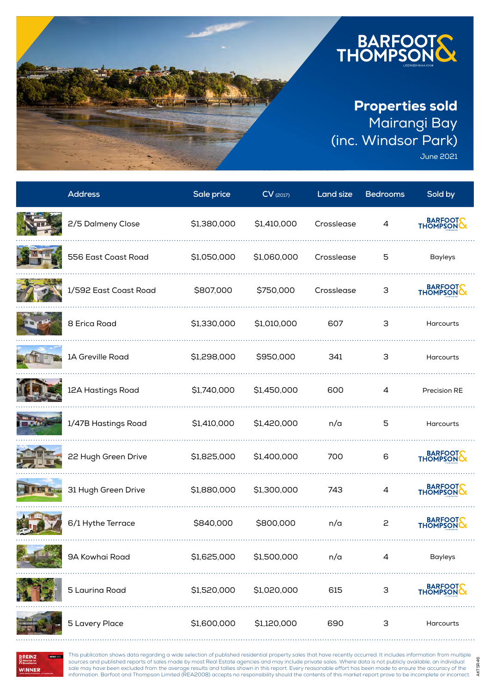

June 2021

AKTSR46

AKTSR46

| <b>Address</b>        | Sale price  | $CV$ (2017) | <b>Land size</b> | <b>Bedrooms</b> | Sold by              |
|-----------------------|-------------|-------------|------------------|-----------------|----------------------|
| 2/5 Dalmeny Close     | \$1,380,000 | \$1,410,000 | Crosslease       | 4               | BARFOOT<br>THOMPSON  |
| 556 East Coast Road   | \$1,050,000 | \$1,060,000 | Crosslease       | 5               | <b>Bayleys</b>       |
| 1/592 East Coast Road | \$807,000   | \$750,000   | Crosslease       | 3               | BARFOOT              |
| 8 Erica Road          | \$1,330,000 | \$1,010,000 | 607              | 3               | Harcourts            |
| 1A Greville Road      | \$1,298,000 | \$950,000   | 341              | 3               | Harcourts            |
| 12A Hastings Road     | \$1,740,000 | \$1,450,000 | 600              | 4               | Precision RE         |
| 1/47B Hastings Road   | \$1,410,000 | \$1,420,000 | n/a              | 5               | Harcourts            |
| 22 Hugh Green Drive   | \$1,825,000 | \$1,400,000 | 700              | 6               | BARFOOTS<br>THOMPSON |
| 31 Hugh Green Drive   | \$1,880,000 | \$1,300,000 | 743              | 4               | BARFOOT              |
| 6/1 Hythe Terrace     | \$840,000   | \$800,000   | n/a              | 2               | BARFOOT              |
| 9A Kowhai Road        | \$1,625,000 | \$1,500,000 | n/a              | 4               | <b>Bayleys</b>       |
| 5 Laurina Road        | \$1,520,000 | \$1,020,000 | 615              | 3               | BARFOOT<br>THOMPSON  |
| 5 Lavery Place        | \$1,600,000 | \$1,120,000 | 690              | З               | Harcourts            |

**BERZ** III **WINNER** 

This publication shows data regarding a wide selection of published residential property sales that have recently occurred. It includes information from multiple sources and published reports of sales made by most Real Estate agencies and may include private sales. Where data is not publicly available, an individual sale may have been excluded from the average results and tallies shown in this report. Every reasonable effort has been made to ensure the accuracy of the information. Barfoot and Thompson Limited (REA2008) accepts no responsibility should the contents of this market report prove to be incomplete or incorrect.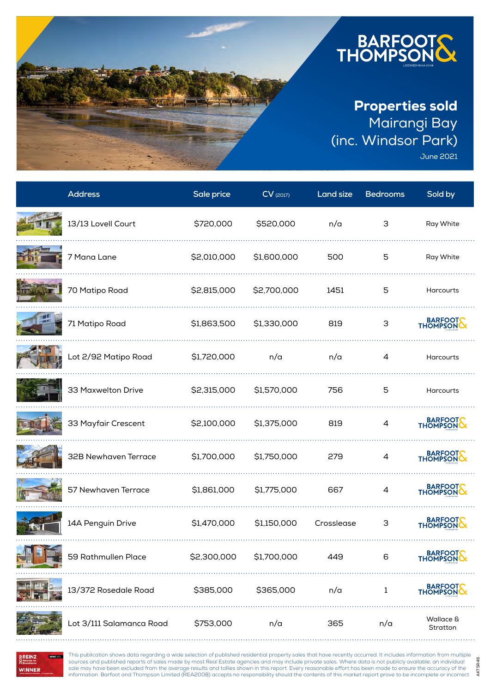

June 2021

AKTSR46

AKTSR46

| <b>Address</b>           | Sale price  | $CV$ (2017) | <b>Land size</b> | <b>Bedrooms</b> | Sold by                   |
|--------------------------|-------------|-------------|------------------|-----------------|---------------------------|
| 13/13 Lovell Court       | \$720,000   | \$520,000   | n/a              | 3               | Ray White                 |
| 7 Mana Lane              | \$2,010,000 | \$1,600,000 | 500              | 5               | Ray White                 |
| 70 Matipo Road           | \$2,815,000 | \$2,700,000 | 1451             | 5               | <b>Harcourts</b>          |
| 71 Matipo Road           | \$1,863,500 | \$1,330,000 | 819              | 3               | BARFOOTS<br>THOMPSON      |
| Lot 2/92 Matipo Road     | \$1,720,000 | n/a         | n/a              | $\overline{4}$  | Harcourts                 |
| 33 Maxwelton Drive       | \$2,315,000 | \$1,570,000 | 756              | 5               | <b>Harcourts</b>          |
| 33 Mayfair Crescent      | \$2,100,000 | \$1,375,000 | 819              | 4               | BARFOOT                   |
| 32B Newhaven Terrace     | \$1,700,000 | \$1,750,000 | 279              | 4               | BARFOOTS<br>THOMPSON      |
| 57 Newhaven Terrace      | \$1,861,000 | \$1,775,000 | 667              | 4               | BARFOOT                   |
| 14A Penguin Drive        | \$1,470,000 | \$1,150,000 | Crosslease       | 3               | BARFOOT                   |
| 59 Rathmullen Place      | \$2,300,000 | \$1,700,000 | 449              | 6               | <b>BARFOO</b><br>THOMPSON |
| 13/372 Rosedale Road     | \$385,000   | \$365,000   | n/a              | 1               | BARFOOT<br>THOMPSON       |
| Lot 3/111 Salamanca Road | \$753,000   | n/a         | 365              | n/a             | Wallace &<br>Stratton     |

**WINNER** 

This publication shows data regarding a wide selection of published residential property sales that have recently occurred. It includes information from multiple sources and published reports of sales made by most Real Estate agencies and may include private sales. Where data is not publicly available, an individual sale may have been excluded from the average results and tallies shown in this report. Every reasonable effort has been made to ensure the accuracy of the information. Barfoot and Thompson Limited (REA2008) accepts no responsibility should the contents of this market report prove to be incomplete or incorrect.